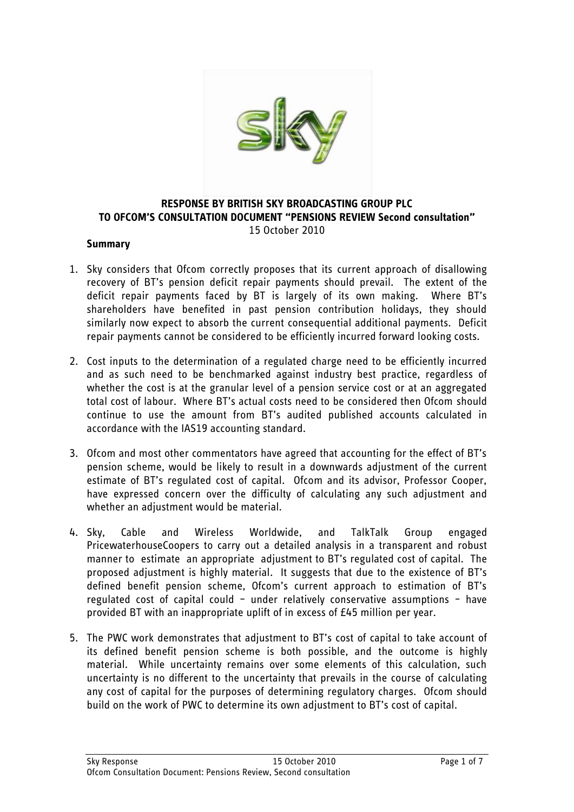

### **RESPONSE BY BRITISH SKY BROADCASTING GROUP PLC TO OFCOM'S CONSULTATION DOCUMENT "PENSIONS REVIEW Second consultation"** 15 October 2010

### **Summary**

- 1. Sky considers that Ofcom correctly proposes that its current approach of disallowing recovery of BT"s pension deficit repair payments should prevail. The extent of the deficit repair payments faced by BT is largely of its own making. Where BT"s shareholders have benefited in past pension contribution holidays, they should similarly now expect to absorb the current consequential additional payments. Deficit repair payments cannot be considered to be efficiently incurred forward looking costs.
- 2. Cost inputs to the determination of a regulated charge need to be efficiently incurred and as such need to be benchmarked against industry best practice, regardless of whether the cost is at the granular level of a pension service cost or at an aggregated total cost of labour. Where BT"s actual costs need to be considered then Ofcom should continue to use the amount from BT"s audited published accounts calculated in accordance with the IAS19 accounting standard.
- 3. Ofcom and most other commentators have agreed that accounting for the effect of BT"s pension scheme, would be likely to result in a downwards adjustment of the current estimate of BT"s regulated cost of capital. Ofcom and its advisor, Professor Cooper, have expressed concern over the difficulty of calculating any such adjustment and whether an adjustment would be material.
- 4. Sky, Cable and Wireless Worldwide, and TalkTalk Group engaged PricewaterhouseCoopers to carry out a detailed analysis in a transparent and robust manner to estimate an appropriate adjustment to BT"s regulated cost of capital. The proposed adjustment is highly material. It suggests that due to the existence of BT"s defined benefit pension scheme, Ofcom"s current approach to estimation of BT"s regulated cost of capital could – under relatively conservative assumptions – have provided BT with an inappropriate uplift of in excess of £45 million per year.
- 5. The PWC work demonstrates that adjustment to BT"s cost of capital to take account of its defined benefit pension scheme is both possible, and the outcome is highly material. While uncertainty remains over some elements of this calculation, such uncertainty is no different to the uncertainty that prevails in the course of calculating any cost of capital for the purposes of determining regulatory charges. Ofcom should build on the work of PWC to determine its own adjustment to BT"s cost of capital.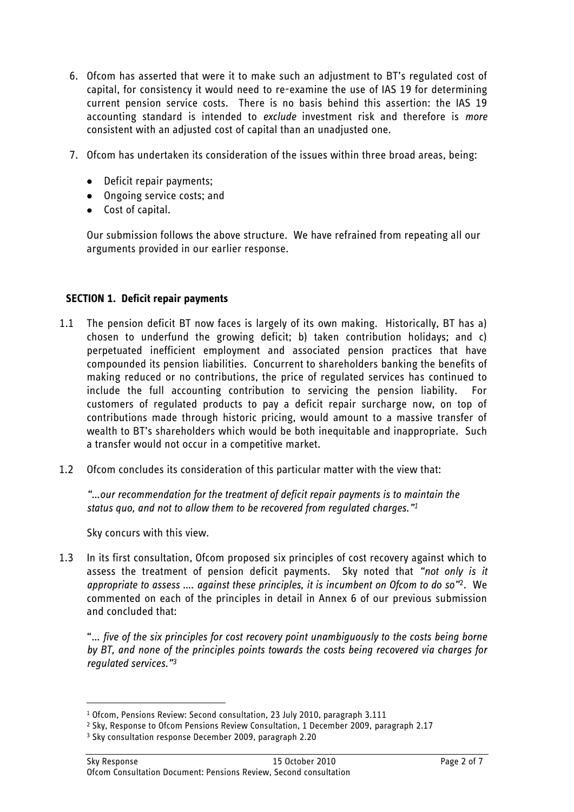- 6. Ofcom has asserted that were it to make such an adjustment to BT"s regulated cost of capital, for consistency it would need to re-examine the use of IAS 19 for determining current pension service costs. There is no basis behind this assertion: the IAS 19 accounting standard is intended to *exclude* investment risk and therefore is *more*  consistent with an adjusted cost of capital than an unadjusted one.
- 7. Ofcom has undertaken its consideration of the issues within three broad areas, being:
	- Deficit repair payments:
	- Ongoing service costs; and
	- Cost of capital.

Our submission follows the above structure. We have refrained from repeating all our arguments provided in our earlier response.

## **SECTION 1. Deficit repair payments**

- 1.1 The pension deficit BT now faces is largely of its own making. Historically, BT has a) chosen to underfund the growing deficit; b) taken contribution holidays; and c) perpetuated inefficient employment and associated pension practices that have compounded its pension liabilities. Concurrent to shareholders banking the benefits of making reduced or no contributions, the price of regulated services has continued to include the full accounting contribution to servicing the pension liability. For customers of regulated products to pay a deficit repair surcharge now, on top of contributions made through historic pricing, would amount to a massive transfer of wealth to BT"s shareholders which would be both inequitable and inappropriate. Such a transfer would not occur in a competitive market.
- 1.2 Ofcom concludes its consideration of this particular matter with the view that:

*"…our recommendation for the treatment of deficit repair payments is to maintain the status quo, and not to allow them to be recovered from regulated charges." 1*

Sky concurs with this view.

<u>.</u>

1.3 In its first consultation, Ofcom proposed six principles of cost recovery against which to assess the treatment of pension deficit payments. Sky noted that *"not only is it appropriate to assess …. against these principles, it is incumbent on Ofcom to do so"*2*.* We commented on each of the principles in detail in Annex 6 of our previous submission and concluded that:

"… *five of the six principles for cost recovery point unambiguously to the costs being borne by BT, and none of the principles points towards the costs being recovered via charges for regulated services."<sup>3</sup>*

<sup>1</sup> Ofcom, Pensions Review: Second consultation, 23 July 2010, paragraph 3.111

<sup>2</sup> Sky, Response to Ofcom Pensions Review Consultation, 1 December 2009, paragraph 2.17

<sup>3</sup> Sky consultation response December 2009, paragraph 2.20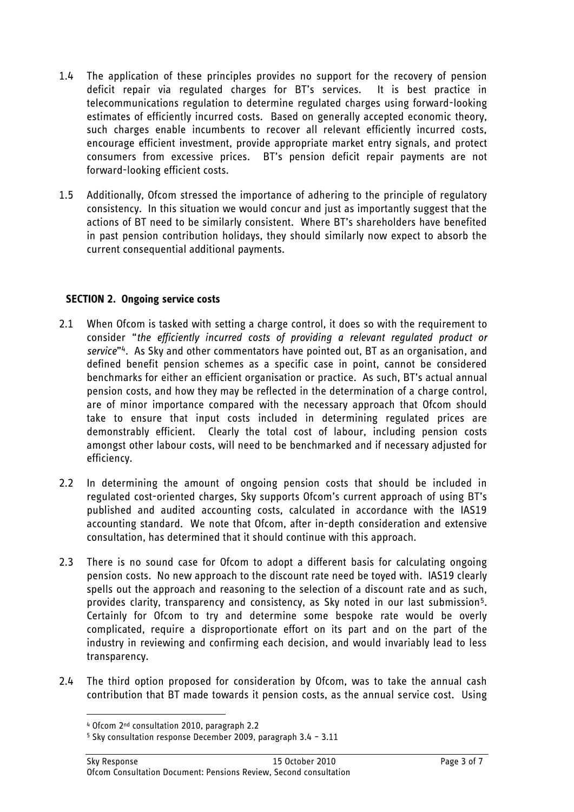- 1.4 The application of these principles provides no support for the recovery of pension deficit repair via regulated charges for BT"s services. It is best practice in telecommunications regulation to determine regulated charges using forward-looking estimates of efficiently incurred costs. Based on generally accepted economic theory, such charges enable incumbents to recover all relevant efficiently incurred costs, encourage efficient investment, provide appropriate market entry signals, and protect consumers from excessive prices. BT"s pension deficit repair payments are not forward-looking efficient costs.
- 1.5 Additionally, Ofcom stressed the importance of adhering to the principle of regulatory consistency. In this situation we would concur and just as importantly suggest that the actions of BT need to be similarly consistent. Where BT"s shareholders have benefited in past pension contribution holidays, they should similarly now expect to absorb the current consequential additional payments.

### **SECTION 2. Ongoing service costs**

- 2.1 When Ofcom is tasked with setting a charge control, it does so with the requirement to consider "*the efficiently incurred costs of providing a relevant regulated product or service*" <sup>4</sup>. As Sky and other commentators have pointed out, BT as an organisation, and defined benefit pension schemes as a specific case in point, cannot be considered benchmarks for either an efficient organisation or practice. As such, BT"s actual annual pension costs, and how they may be reflected in the determination of a charge control, are of minor importance compared with the necessary approach that Ofcom should take to ensure that input costs included in determining regulated prices are demonstrably efficient. Clearly the total cost of labour, including pension costs amongst other labour costs, will need to be benchmarked and if necessary adjusted for efficiency.
- 2.2 In determining the amount of ongoing pension costs that should be included in regulated cost-oriented charges, Sky supports Ofcom"s current approach of using BT"s published and audited accounting costs, calculated in accordance with the IAS19 accounting standard. We note that Ofcom, after in-depth consideration and extensive consultation, has determined that it should continue with this approach.
- 2.3 There is no sound case for Ofcom to adopt a different basis for calculating ongoing pension costs. No new approach to the discount rate need be toyed with. IAS19 clearly spells out the approach and reasoning to the selection of a discount rate and as such, provides clarity, transparency and consistency, as Sky noted in our last submission<sup>5</sup>. Certainly for Ofcom to try and determine some bespoke rate would be overly complicated, require a disproportionate effort on its part and on the part of the industry in reviewing and confirming each decision, and would invariably lead to less transparency.
- 2.4 The third option proposed for consideration by Ofcom, was to take the annual cash contribution that BT made towards it pension costs, as the annual service cost. Using

<u>.</u>

<sup>4</sup> Ofcom 2nd consultation 2010, paragraph 2.2

<sup>5</sup> Sky consultation response December 2009, paragraph 3.4 – 3.11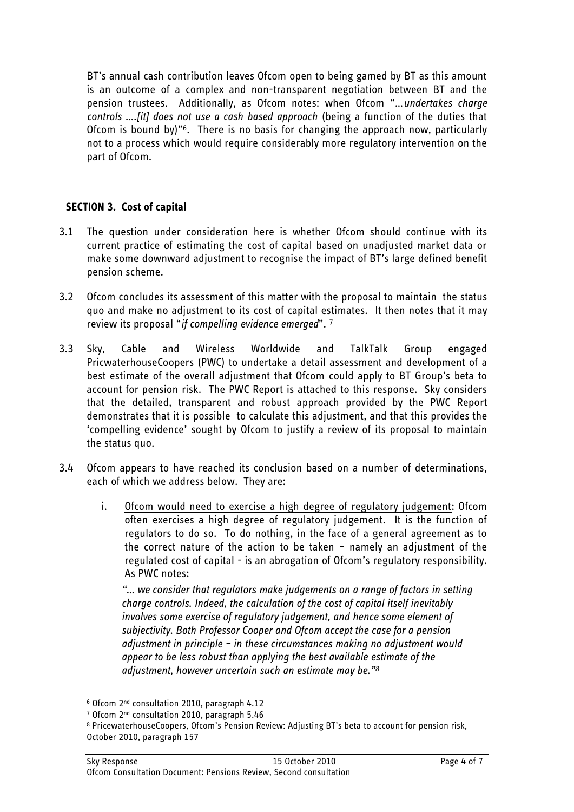BT"s annual cash contribution leaves Ofcom open to being gamed by BT as this amount is an outcome of a complex and non-transparent negotiation between BT and the pension trustees. Additionally, as Ofcom notes: when Ofcom "…*undertakes charge controls ….[it] does not use a cash based approach* (being a function of the duties that Ofcom is bound by)"6. There is no basis for changing the approach now, particularly not to a process which would require considerably more regulatory intervention on the part of Ofcom.

# **SECTION 3. Cost of capital**

- 3.1 The question under consideration here is whether Ofcom should continue with its current practice of estimating the cost of capital based on unadjusted market data or make some downward adjustment to recognise the impact of BT"s large defined benefit pension scheme.
- 3.2 Ofcom concludes its assessment of this matter with the proposal to maintain the status quo and make no adjustment to its cost of capital estimates. It then notes that it may review its proposal "*if compelling evidence emerged*". <sup>7</sup>
- 3.3 Sky, Cable and Wireless Worldwide and TalkTalk Group engaged PricwaterhouseCoopers (PWC) to undertake a detail assessment and development of a best estimate of the overall adjustment that Ofcom could apply to BT Group"s beta to account for pension risk. The PWC Report is attached to this response. Sky considers that the detailed, transparent and robust approach provided by the PWC Report demonstrates that it is possible to calculate this adjustment, and that this provides the "compelling evidence" sought by Ofcom to justify a review of its proposal to maintain the status quo.
- 3.4 Ofcom appears to have reached its conclusion based on a number of determinations, each of which we address below. They are:
	- i. Ofcom would need to exercise a high degree of regulatory judgement: Ofcom often exercises a high degree of regulatory judgement. It is the function of regulators to do so. To do nothing, in the face of a general agreement as to the correct nature of the action to be taken – namely an adjustment of the regulated cost of capital - is an abrogation of Ofcom"s regulatory responsibility. As PWC notes:

*"… we consider that regulators make judgements on a range of factors in setting charge controls. Indeed, the calculation of the cost of capital itself inevitably involves some exercise of regulatory judgement, and hence some element of subjectivity. Both Professor Cooper and Ofcom accept the case for a pension adjustment in principle – in these circumstances making no adjustment would appear to be less robust than applying the best available estimate of the adjustment, however uncertain such an estimate may be." 8*

<u>.</u>

<sup>6</sup> Ofcom 2nd consultation 2010, paragraph 4.12

<sup>7</sup> Ofcom 2nd consultation 2010, paragraph 5.46

<sup>8</sup> PricewaterhouseCoopers, Ofcom"s Pension Review: Adjusting BT"s beta to account for pension risk, October 2010, paragraph 157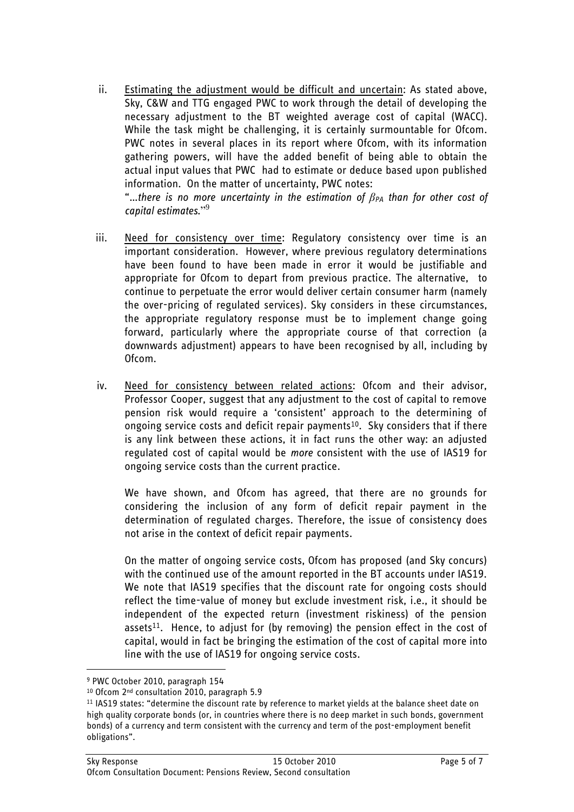ii. Estimating the adjustment would be difficult and uncertain: As stated above, Sky, C&W and TTG engaged PWC to work through the detail of developing the necessary adjustment to the BT weighted average cost of capital (WACC). While the task might be challenging, it is certainly surmountable for Ofcom. PWC notes in several places in its report where Ofcom, with its information gathering powers, will have the added benefit of being able to obtain the actual input values that PWC had to estimate or deduce based upon published information. On the matter of uncertainty, PWC notes:

"…*there is no more uncertainty in the estimation of βPA than for other cost of capital estimates.*" 9

- iii. Need for consistency over time: Regulatory consistency over time is an important consideration. However, where previous regulatory determinations have been found to have been made in error it would be justifiable and appropriate for Ofcom to depart from previous practice. The alternative, to continue to perpetuate the error would deliver certain consumer harm (namely the over-pricing of regulated services). Sky considers in these circumstances, the appropriate regulatory response must be to implement change going forward, particularly where the appropriate course of that correction (a downwards adjustment) appears to have been recognised by all, including by Ofcom.
- iv. Need for consistency between related actions: Ofcom and their advisor, Professor Cooper, suggest that any adjustment to the cost of capital to remove pension risk would require a "consistent" approach to the determining of ongoing service costs and deficit repair payments<sup>10</sup>. Sky considers that if there is any link between these actions, it in fact runs the other way: an adjusted regulated cost of capital would be *more* consistent with the use of IAS19 for ongoing service costs than the current practice.

We have shown, and Ofcom has agreed, that there are no grounds for considering the inclusion of any form of deficit repair payment in the determination of regulated charges. Therefore, the issue of consistency does not arise in the context of deficit repair payments.

On the matter of ongoing service costs, Ofcom has proposed (and Sky concurs) with the continued use of the amount reported in the BT accounts under IAS19. We note that IAS19 specifies that the discount rate for ongoing costs should reflect the time-value of money but exclude investment risk, i.e., it should be independent of the expected return (investment riskiness) of the pension assets<sup>11</sup>. Hence, to adjust for (by removing) the pension effect in the cost of capital, would in fact be bringing the estimation of the cost of capital more into line with the use of IAS19 for ongoing service costs.

<u>.</u>

<sup>9</sup> PWC October 2010, paragraph 154

<sup>10</sup> Ofcom 2<sup>nd</sup> consultation 2010, paragraph 5.9

<sup>11</sup> IAS19 states: "determine the discount rate by reference to market yields at the balance sheet date on high quality corporate bonds (or, in countries where there is no deep market in such bonds, government bonds) of a currency and term consistent with the currency and term of the post-employment benefit obligations".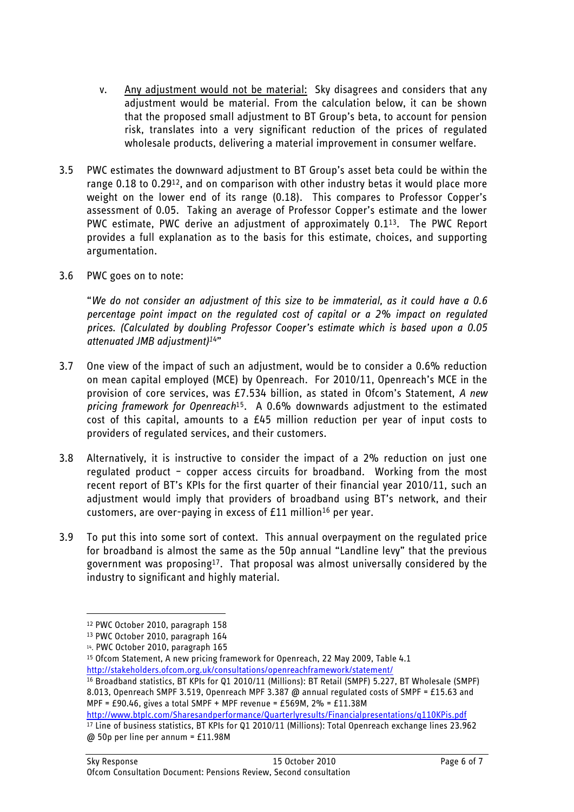- v. Any adjustment would not be material: Sky disagrees and considers that any adjustment would be material. From the calculation below, it can be shown that the proposed small adjustment to BT Group"s beta, to account for pension risk, translates into a very significant reduction of the prices of regulated wholesale products, delivering a material improvement in consumer welfare.
- 3.5 PWC estimates the downward adjustment to BT Group"s asset beta could be within the range 0.18 to 0.2912, and on comparison with other industry betas it would place more weight on the lower end of its range (0.18). This compares to Professor Copper"s assessment of 0.05. Taking an average of Professor Copper"s estimate and the lower PWC estimate, PWC derive an adjustment of approximately 0.113. The PWC Report provides a full explanation as to the basis for this estimate, choices, and supporting argumentation.
- 3.6 PWC goes on to note:

"*We do not consider an adjustment of this size to be immaterial, as it could have a 0.6 percentage point impact on the regulated cost of capital or a 2% impact on regulated prices. (Calculated by doubling Professor Cooper's estimate which is based upon a 0.05 attenuated JMB adjustment)14*"

- 3.7 One view of the impact of such an adjustment, would be to consider a 0.6% reduction on mean capital employed (MCE) by Openreach. For 2010/11, Openreach"s MCE in the provision of core services, was £7.534 billion, as stated in Ofcom"s Statement, *A new pricing framework for Openreach* <sup>15</sup>*.* A 0.6% downwards adjustment to the estimated cost of this capital, amounts to a  $E45$  million reduction per year of input costs to providers of regulated services, and their customers.
- 3.8 Alternatively, it is instructive to consider the impact of a 2% reduction on just one regulated product – copper access circuits for broadband. Working from the most recent report of BT"s KPIs for the first quarter of their financial year 2010/11, such an adjustment would imply that providers of broadband using BT"s network, and their customers, are over-paying in excess of £11 million<sup>16</sup> per vear.
- 3.9 To put this into some sort of context. This annual overpayment on the regulated price for broadband is almost the same as the 50p annual "Landline levy" that the previous government was proposing17. That proposal was almost universally considered by the industry to significant and highly material.

<u>.</u>

<http://www.btplc.com/Sharesandperformance/Quarterlyresults/Financialpresentations/q110KPis.pdf> <sup>17</sup> Line of business statistics, BT KPIs for Q1 2010/11 (Millions): Total Openreach exchange lines 23.962 @ 50p per line per annum = £11.98M

<sup>12</sup> PWC October 2010, paragraph 158

<sup>13</sup> PWC October 2010, paragraph 164

<sup>14</sup> . PWC October 2010, paragraph 165

<sup>15</sup> Ofcom Statement, A new pricing framework for Openreach, 22 May 2009, Table 4.1 <http://stakeholders.ofcom.org.uk/consultations/openreachframework/statement/>

<sup>16</sup> Broadband statistics, BT KPIs for Q1 2010/11 (Millions): BT Retail (SMPF) 5.227, BT Wholesale (SMPF) 8.013, Openreach SMPF 3.519, Openreach MPF 3.387 @ annual regulated costs of SMPF = £15.63 and MPF = £90.46, gives a total SMPF + MPF revenue = £569M,  $2\%$  = £11.38M